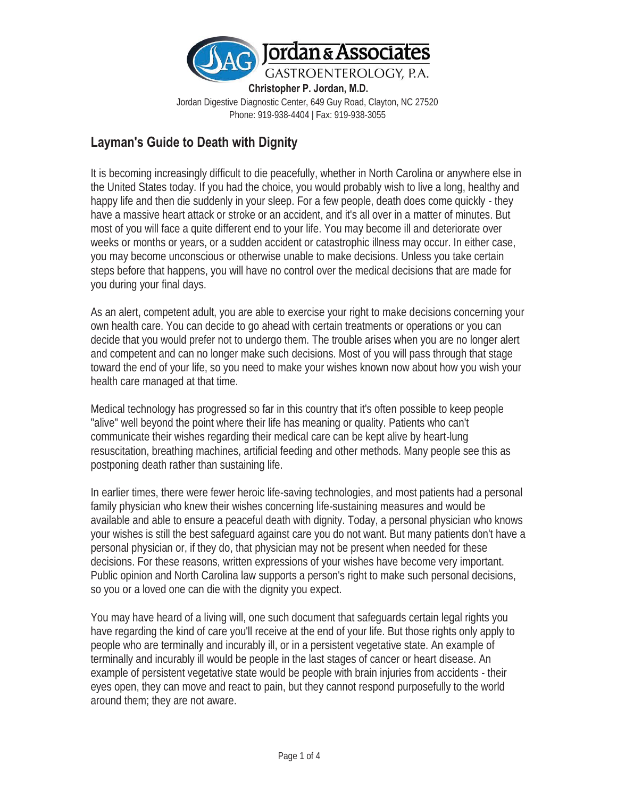

**Christopher P. Jordan, M.D.**  Jordan Digestive Diagnostic Center, 649 Guy Road, Clayton, NC 27520 Phone: 919-938-4404 | Fax: 919-938-3055

### **Layman's Guide to Death with Dignity**

It is becoming increasingly difficult to die peacefully, whether in North Carolina or anywhere else in the United States today. If you had the choice, you would probably wish to live a long, healthy and happy life and then die suddenly in your sleep. For a few people, death does come quickly - they have a massive heart attack or stroke or an accident, and it's all over in a matter of minutes. But most of you will face a quite different end to your life. You may become ill and deteriorate over weeks or months or years, or a sudden accident or catastrophic illness may occur. In either case, you may become unconscious or otherwise unable to make decisions. Unless you take certain steps before that happens, you will have no control over the medical decisions that are made for you during your final days.

As an alert, competent adult, you are able to exercise your right to make decisions concerning your own health care. You can decide to go ahead with certain treatments or operations or you can decide that you would prefer not to undergo them. The trouble arises when you are no longer alert and competent and can no longer make such decisions. Most of you will pass through that stage toward the end of your life, so you need to make your wishes known now about how you wish your health care managed at that time.

Medical technology has progressed so far in this country that it's often possible to keep people "alive" well beyond the point where their life has meaning or quality. Patients who can't communicate their wishes regarding their medical care can be kept alive by heart-lung resuscitation, breathing machines, artificial feeding and other methods. Many people see this as postponing death rather than sustaining life.

In earlier times, there were fewer heroic life-saving technologies, and most patients had a personal family physician who knew their wishes concerning life-sustaining measures and would be available and able to ensure a peaceful death with dignity. Today, a personal physician who knows your wishes is still the best safeguard against care you do not want. But many patients don't have a personal physician or, if they do, that physician may not be present when needed for these decisions. For these reasons, written expressions of your wishes have become very important. Public opinion and North Carolina law supports a person's right to make such personal decisions, so you or a loved one can die with the dignity you expect.

You may have heard of a living will, one such document that safeguards certain legal rights you have regarding the kind of care you'll receive at the end of your life. But those rights only apply to people who are terminally and incurably ill, or in a persistent vegetative state. An example of terminally and incurably ill would be people in the last stages of cancer or heart disease. An example of persistent vegetative state would be people with brain injuries from accidents - their eyes open, they can move and react to pain, but they cannot respond purposefully to the world around them; they are not aware.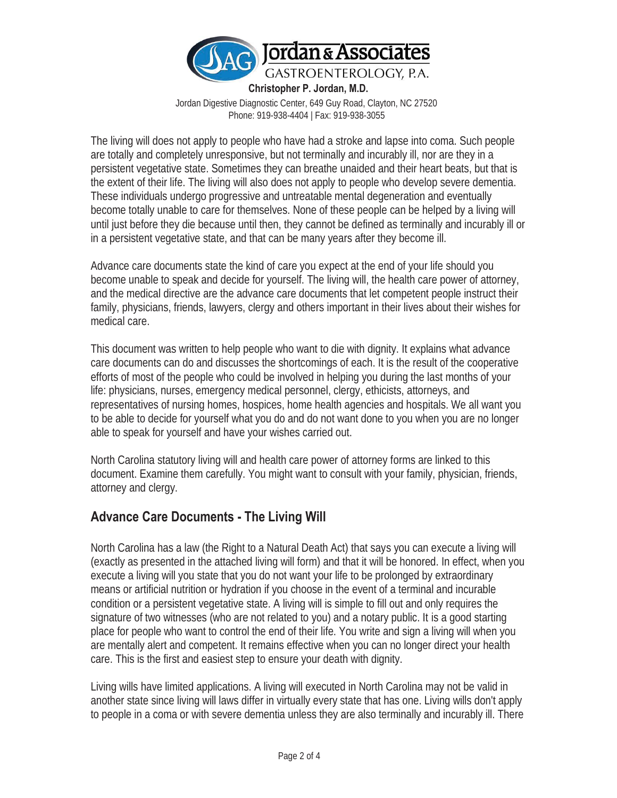

**Christopher P. Jordan, M.D.** 

Jordan Digestive Diagnostic Center, 649 Guy Road, Clayton, NC 27520 Phone: 919-938-4404 | Fax: 919-938-3055

The living will does not apply to people who have had a stroke and lapse into coma. Such people are totally and completely unresponsive, but not terminally and incurably ill, nor are they in a persistent vegetative state. Sometimes they can breathe unaided and their heart beats, but that is the extent of their life. The living will also does not apply to people who develop severe dementia. These individuals undergo progressive and untreatable mental degeneration and eventually become totally unable to care for themselves. None of these people can be helped by a living will until just before they die because until then, they cannot be defined as terminally and incurably ill or in a persistent vegetative state, and that can be many years after they become ill.

Advance care documents state the kind of care you expect at the end of your life should you become unable to speak and decide for yourself. The living will, the health care power of attorney, and the medical directive are the advance care documents that let competent people instruct their family, physicians, friends, lawyers, clergy and others important in their lives about their wishes for medical care.

This document was written to help people who want to die with dignity. It explains what advance care documents can do and discusses the shortcomings of each. It is the result of the cooperative efforts of most of the people who could be involved in helping you during the last months of your life: physicians, nurses, emergency medical personnel, clergy, ethicists, attorneys, and representatives of nursing homes, hospices, home health agencies and hospitals. We all want you to be able to decide for yourself what you do and do not want done to you when you are no longer able to speak for yourself and have your wishes carried out.

North Carolina statutory living will and health care power of attorney forms are linked to this document. Examine them carefully. You might want to consult with your family, physician, friends, attorney and clergy.

### **Advance Care Documents - The Living Will**

North Carolina has a law (the Right to a Natural Death Act) that says you can execute a living will (exactly as presented in the attached living will form) and that it will be honored. In effect, when you execute a living will you state that you do not want your life to be prolonged by extraordinary means or artificial nutrition or hydration if you choose in the event of a terminal and incurable condition or a persistent vegetative state. A living will is simple to fill out and only requires the signature of two witnesses (who are not related to you) and a notary public. It is a good starting place for people who want to control the end of their life. You write and sign a living will when you are mentally alert and competent. It remains effective when you can no longer direct your health care. This is the first and easiest step to ensure your death with dignity.

Living wills have limited applications. A living will executed in North Carolina may not be valid in another state since living will laws differ in virtually every state that has one. Living wills don't apply to people in a coma or with severe dementia unless they are also terminally and incurably ill. There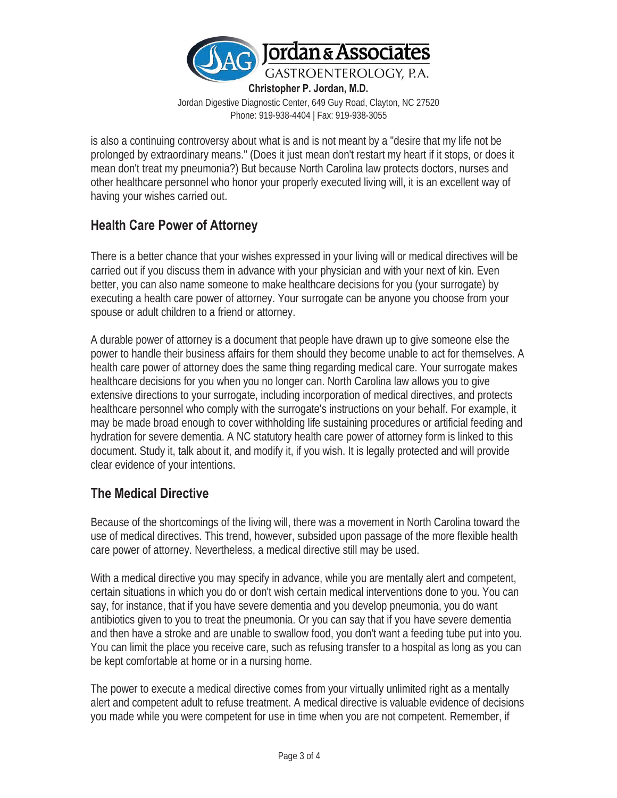

**Christopher P. Jordan, M.D.**  Jordan Digestive Diagnostic Center, 649 Guy Road, Clayton, NC 27520 Phone: 919-938-4404 | Fax: 919-938-3055

is also a continuing controversy about what is and is not meant by a "desire that my life not be prolonged by extraordinary means." (Does it just mean don't restart my heart if it stops, or does it mean don't treat my pneumonia?) But because North Carolina law protects doctors, nurses and other healthcare personnel who honor your properly executed living will, it is an excellent way of having your wishes carried out.

## **Health Care Power of Attorney**

There is a better chance that your wishes expressed in your living will or medical directives will be carried out if you discuss them in advance with your physician and with your next of kin. Even better, you can also name someone to make healthcare decisions for you (your surrogate) by executing a health care power of attorney. Your surrogate can be anyone you choose from your spouse or adult children to a friend or attorney.

A durable power of attorney is a document that people have drawn up to give someone else the power to handle their business affairs for them should they become unable to act for themselves. A health care power of attorney does the same thing regarding medical care. Your surrogate makes healthcare decisions for you when you no longer can. North Carolina law allows you to give extensive directions to your surrogate, including incorporation of medical directives, and protects healthcare personnel who comply with the surrogate's instructions on your behalf. For example, it may be made broad enough to cover withholding life sustaining procedures or artificial feeding and hydration for severe dementia. A NC statutory health care power of attorney form is linked to this document. Study it, talk about it, and modify it, if you wish. It is legally protected and will provide clear evidence of your intentions.

# **The Medical Directive**

Because of the shortcomings of the living will, there was a movement in North Carolina toward the use of medical directives. This trend, however, subsided upon passage of the more flexible health care power of attorney. Nevertheless, a medical directive still may be used.

With a medical directive you may specify in advance, while you are mentally alert and competent, certain situations in which you do or don't wish certain medical interventions done to you. You can say, for instance, that if you have severe dementia and you develop pneumonia, you do want antibiotics given to you to treat the pneumonia. Or you can say that if you have severe dementia and then have a stroke and are unable to swallow food, you don't want a feeding tube put into you. You can limit the place you receive care, such as refusing transfer to a hospital as long as you can be kept comfortable at home or in a nursing home.

The power to execute a medical directive comes from your virtually unlimited right as a mentally alert and competent adult to refuse treatment. A medical directive is valuable evidence of decisions you made while you were competent for use in time when you are not competent. Remember, if